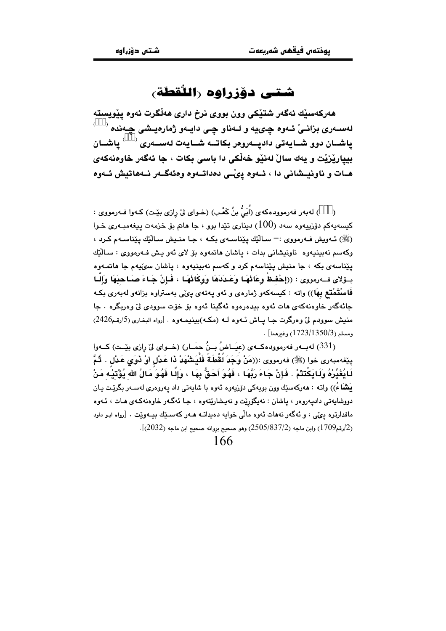## شتى دۆزراوه راللُقطَة،

هەركەسێك ئەگەر شتێكى وون بووى نرخ دارى هەڵگرت ئەوە يێويستە لەســەرى بزانــىٰ ئــەوە چـىيە و لــەناو چـى دايــەو ژمارەيــشى چـەندە <sup>(+++</sup>) پاشــان دوو شــايەتى دادپــەروەر بكاتــە شــايەت لەســەرى <sup>(+++</sup>) ياشــان بيياريْزِيْت و يەك سالْ لەنێو خەلْكى دا باسى بكات ، جا ئەگەر خاوەنەكەي هـات و ناونیـشانی دا ، ئـهوه ییّـی دهداتـهوه وهئهگـهر نـههاتیش ئـهوه

) لهٻهر فهرموودهکهي (اُڀُ بنُ کَعْب) (خـواي ليّ رازي بِٽِت) کـهوا فـهرمووي : کيسەيەكم دۆزييەوە سەد (100) دېنارى تێدا بوو ، جا ھاتم بۆ خزمەت يېغەمبـەرى خـوا (ﷺ) ئــهويش فــهرمووي :— ســاللَّيْك بِيّناســهي بكـه ، جـا منــيش ســاللَّيْك بِيّناســهم كـرد ، وكەسم نەيپنىيەوە ناوينىشانى بدات ، ياشان ھاتمەوە بۆ لاي ئەو يىش فـەرمووى : سـالْٽِك يێناسەي بكه ، جا منيش يێناسەم كرد و كەسم نەبينيەوە ، ياشان سىێپەم جا ھاتمـەوە بِيَوْلَاي فِ2رِمووِي : ((إِحْفِظْ وِعَائَهَا وَعَبْدَدَهَا وَوَكَائَهَا ) فَإِنْ جَبَاءَ صَبَاحِبَهَا وَإِلَيا فَاسنْتَمْتُع بِهَا)) واته : کیسهکهو ژمارهی و ئهو پهتهی ییْمی بهستراوه بزانهو لهبهری بکه جائهگەر خاوەنەكەي ھات ئەوە بېدەرەوە ئەگينا ئەوە بۆ خۆت سوودى لىٰ وەربگرە . جا منيش سوودم ليٌ وهرگرت جـا پـاش ئـهوه لـه (مكـه)بينيمـهوه . [رواه البخاري (5/رقم2426)  $\cdot$  [ومسلم (1723/1350/3) وغيرهما]

(331) لەببەر فەرموودەكبەي (عيَـاضُ بـِنُ حمَـار) (خـواي لِيّ رازى بِيّـت) كــەوا ينِغهمبهري خوا (ﷺ) فهرمووي :((مَنْ وَجَدَ لُقْطَةً فَلْيَشْهَدْ ذَا عَدْلِ أَوْ ذَوَى عَدْل . ثُمَّ لَائِغَيِّرْهُ وَلَايَكْتَتْمْ . فَإِنْ جَاءَ رَبَّهَا ، فَهُوَ أَحَقُّ بِهَا ، وَإِلَّا فَهُوَ مَالُ الله يُؤْتَيْه مَنْ .<br>يَشْمَاءُ)) واته : ھەركەسىيّك وون بويەكى دۆزيەوە ئەوە با شايەتى داد يەروەرى لەسـەر بگرێـت يـان دووشابهتي دادبهروور ، پاشان : نه بگۆرنت و نه پشارنتهوه ، چا ئهگهر خاوهنهکهي مات ، ئيهوه مافدارتره دي، ، و ئەگەر نەھات ئەوە مالّى خوابە دەبداتــه ھــەر كەسـێك بىيـەوێت . [رواه ابـو داود  $(2032)$  رقم $(1709)$ ) وابن ماجه  $(2505/837/2)$  وهو صحيح بروانه صحيح ابن ماجه  $(2032)$ .

166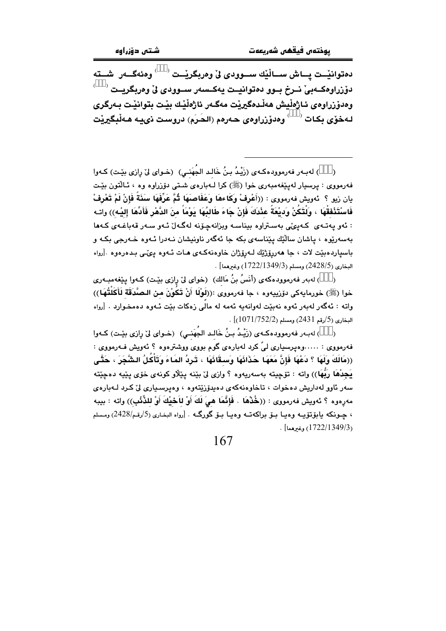دەتوانێــت پــاش ســاڵێك ســـوودى لىْ وەربگرێــت <sup>(+++</sup>) وەئەگـــەر شـــتە دۆزراوەكــەبىٰ نــرخ بــوو دەتوانيــت يەكــسەر ســوودى ئى وەربگريــت وەدۆزراوەي ئـاژەڵيش ھەڵـدەگيرێت مەگـەر ئاژەڵێك بێت بتوانێت بـەرگرى لـهخوّي بكـات <sup>(+++)</sup> وهدوّزراوهي حـهرهم (الحَرِم) دروست ذي بـه هـهلْبِكيريْت

) لهبـهر فهرموودهكـهى (زَيْـدُ بـنُ خَالـد الجُهَنـي) (خـواى ليّ رِازى بيّـت) كـهوا  $\lambda$ فهرمووي : پرسيار لهيێغهمبهري خوا (ﷺ) کرا لـهبارهي شـتي دۆزراوه وه ، ئـاڵتون بێت يان زيو ؟ ئەويش فەرمووى : ((أَعْرِفْ وَكَاءهَا وَعَفَاصَهَا ثُمَّ عَرِّفَهَا سَنَةً فَإِنْ لَمْ تَعْرفْ فَاسْتَذْفِقُهَا ، وَلَتَكُنْ وَدِيْعَةً عِنْدَكَ فَإِنْ جَاءَ طَالِبُهَا بَوْمَاً مِنَ الدَّهْرِ فَأَدِّهَا إليه)) وإتـه : ئەو يەتبەي كەيئى بەستراۋە بېناسيە ويزانەچۆنە لەگبەل ئىەو سەر قەباغبەي كىەھا بەسەرێوە ، ياشان سالٽِك پێناسەي بكە جا ئەگەر ناونپشان نـﻪدرا ئـﻪوە خـﻪرجى بكـﻪ و باسياردهبيّت لات ، جا هەررۆژپّك لـەرۆژان خاوەنەكـەي هـات ئـەوە يـئـى بـدەرەوە .[رواه البخاري (2428/5) ومسلم (1722/1349/3) وغيرهما] .

) لەبەر فەرموودەكەي (أَنَسُ بنُ مَالك) (خواي ليْ رِازى بيْت) كـەوا پيّغەمبـەرى خوا (ﷺ) خورمايه كي دۆرپيەوە ، جا فەرمووى :((لَوْلَا أَنْ تَكُوْنَ من الـصَّدَقَة لَأَكَلْتُهَا)) واته : ئەگەر لەبەر ئەوە نەبێت لەوانەبە ئەمە لە مالّى زەكات بێت ئـەوە دەمخـوارد . [رواه  $\sim$  البخاري (5/رقم 2431) ومسلم (1071/752/2)]

( ) له به رفه رمووده کـه ي (زَيْـدُ بـنُ خَالـد الجُهَنـي) (خـواي ليّ رازي بيّـت) کـهوا فەرمووى : .....وەيرسيارى ليَّ كرد لەبارەي گوم بووى ووشترەوە ؟ ئەويش فـەرمووى : ((مَالَكَ وَلَهَا ؟ دَعْهَا فَإِنَّ مَعَهَا حَذَائَهَا وَسِقَائَهَا ، تَرِدُ المَاءَ وَتَأْكُلُ الشَّحَرَ ، حَتَّى يَجِدْهَا رَبُّهَا)) واته : تۆچيتە بەسەريەوە ؟ وازى لىٰ بێنە يێڵاو كونەي خۆي يێيە دەچێتە سەر ئاوو لەداريش دەخوات ، تاخاوەنەكەي دەيدۆزێتەوە ، وەيرسىيارى لىْ كـرد لـەبارەي مەرەوە ؟ ئەويش فەرمووى : ((خُذْهَا . فَإِنَّمَا هِيَ لَكَ أَوْ لِاَحْيِكَ أَوْ لِلذِّئْبِ)) واتە : بيبه ، جـونكه بابۆتۆپــه وەبــا بــۆ براكەتــه وەبــا بــۆ گورگــه . [رواه البخـاري (5/رقـم/2428) ومـسلم (1722/1349/3) وغيرهما] .

167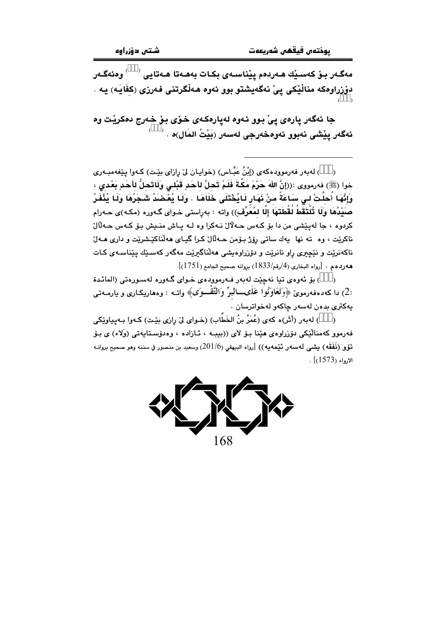مەگـەر بـۆ كەسـێك ھـەردەم پێناسـەى بكـات بەھـەتا ھـەتايى <sup>‹+++</sup>′ وەئەگـەر دۆزراوەكە مناڵێكى يىْ نەگەيشتو بوو ئەوە ھەڵگرتنى فەرزى (كفَايَـه) يـە .

جا ئەگەر يارەي يىْ بوو ئەوە لەيارەكەي خۆي بۆ خەرج دەكريْت وە ئەگەر پێشى نەبوو ئەوەخەرجى لەسەر (بَيْتُ المَال)ە .  $^{(\pm\pm)}$ 

) لهبهر فهرموودهکهی (إِبْنُ عَبَّاس) (خوایان ليّ رازای بێت) کـهوا یێغهمبـهری  $\lambda$ خوا (ﷺ) فەرمووى :((إنَّ اللهَ حَرِّمَ مَكَّةَ فَلَمَّ تَحلَّ للحَدِ قَبْلـى وَلَاتَحلُّ للأَحَدِ بَعْدى ، وَإِنَّهَا أَحلَّتْ لـى سَاعَةً منْ نَهَارٍ لَـايُخْتَلَى خَلَاهَا . وَلَـا يُعْضَدُ شَجَرُهَا وَلَـا يُذَّفَرُ صَيْدُهَا وَلَا تُلْتَقَطُ لُقْطَتَهَا إِلَّا لمُعَرِّفٍ)) واته : بەراستى خـواي گـەورە (مكـه)ى حـەرام کردوه ، جا لهيٽشي من دا بِرِ کـهس حـهلال نـهکرا وه لـه پـاش منـيش بـِرِ کـهس حـهلال ناکريّت ، وه ته نها پهك ساتي رۆژ بـۆمن حـهڵال كـرا گيـاى ههڵناكيّشريّت و دارى هـهلّ .<br>ناکهنریت و نێچی*ری ر*او نانریت و دۆزراوهیشی <mark>م</mark>هڵناگیریت مهگهر کهسـێك یـێناسـهی کـات هه ردهم . [رواه البخاري (4/رقم/1833) بروانه صحيح الجامع (1751)].

) بۆ ئەوەي تيا نەچێت لەبەر فەرموودەي خـواي گـەورە لەسـورەتى (المائـدة :2) دا كەدەڧەرموێ ﴿وَتَعَاوَنُوا عَلَىـــالبرِّ وَالتَّقْـــوَى﴾ واتــه : وەھارىكـارى و بارمــەتى يەكترى بدەن لەسەر چاكەو لەخواترسان .

) لهبهر (أَثَر)ه كهي (عُمَرُ بنُ الخَطَّابِ) (خـواي لِيّ رِازي بيّـت) كـهوا بـهپياوێِكي  $\rightarrow$ فەرمور كەمنالْيْكى بۆزراۋەي ھێنا بىق لاي ((بېيبە ) ئازادە ) ۋەبۇستابەتى (وَلاء) ي بىق تَوْقِ (نَفَقَه) بِشَي لهسهر تُيْمه بِه)) [رواه البيهقي (201/6) وسعيد بن منصور في سننه وهو صحيح بروانـه  $. [1573, .13]$